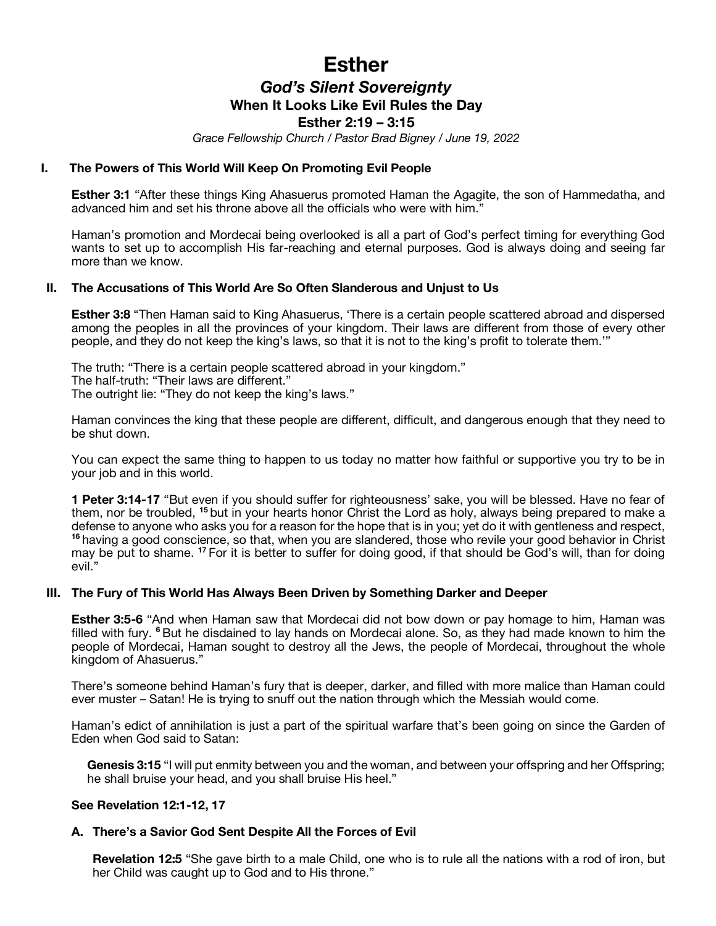# **Esther**

# *God's Silent Sovereignty* **When It Looks Like Evil Rules the Day**

# **Esther 2:19 – 3:15**

*Grace Fellowship Church / Pastor Brad Bigney / June 19, 2022*

### **I. The Powers of This World Will Keep On Promoting Evil People**

**Esther 3:1** "After these things King Ahasuerus promoted Haman the Agagite, the son of Hammedatha, and advanced him and set his throne above all the officials who were with him."

Haman's promotion and Mordecai being overlooked is all a part of God's perfect timing for everything God wants to set up to accomplish His far-reaching and eternal purposes. God is always doing and seeing far more than we know.

# **II. The Accusations of This World Are So Often Slanderous and Unjust to Us**

**Esther 3:8** "Then Haman said to King Ahasuerus, 'There is a certain people scattered abroad and dispersed among the peoples in all the provinces of your kingdom. Their laws are different from those of every other people, and they do not keep the king's laws, so that it is not to the king's profit to tolerate them.'"

The truth: "There is a certain people scattered abroad in your kingdom." The half-truth: "Their laws are different." The outright lie: "They do not keep the king's laws."

Haman convinces the king that these people are different, difficult, and dangerous enough that they need to be shut down.

You can expect the same thing to happen to us today no matter how faithful or supportive you try to be in your job and in this world.

**1 Peter 3:14-17** "But even if you should suffer for righteousness' sake, you will be blessed. Have no fear of them, nor be troubled, **<sup>15</sup>** but in your hearts honor Christ the Lord as holy, always being prepared to make a defense to anyone who asks you for a reason for the hope that is in you; yet do it with gentleness and respect, **<sup>16</sup>** having a good conscience, so that, when you are slandered, those who revile your good behavior in Christ may be put to shame. **<sup>17</sup>** For it is better to suffer for doing good, if that should be God's will, than for doing evil."

#### **III. The Fury of This World Has Always Been Driven by Something Darker and Deeper**

**Esther 3:5-6** "And when Haman saw that Mordecai did not bow down or pay homage to him, Haman was filled with fury. **<sup>6</sup>** But he disdained to lay hands on Mordecai alone. So, as they had made known to him the people of Mordecai, Haman sought to destroy all the Jews, the people of Mordecai, throughout the whole kingdom of Ahasuerus."

There's someone behind Haman's fury that is deeper, darker, and filled with more malice than Haman could ever muster – Satan! He is trying to snuff out the nation through which the Messiah would come.

Haman's edict of annihilation is just a part of the spiritual warfare that's been going on since the Garden of Eden when God said to Satan:

**Genesis 3:15** "I will put enmity between you and the woman, and between your offspring and her Offspring; he shall bruise your head, and you shall bruise His heel."

#### **See Revelation 12:1-12, 17**

# **A. There's a Savior God Sent Despite All the Forces of Evil**

**Revelation 12:5** "She gave birth to a male Child, one who is to rule all the nations with a rod of iron, but her Child was caught up to God and to His throne."